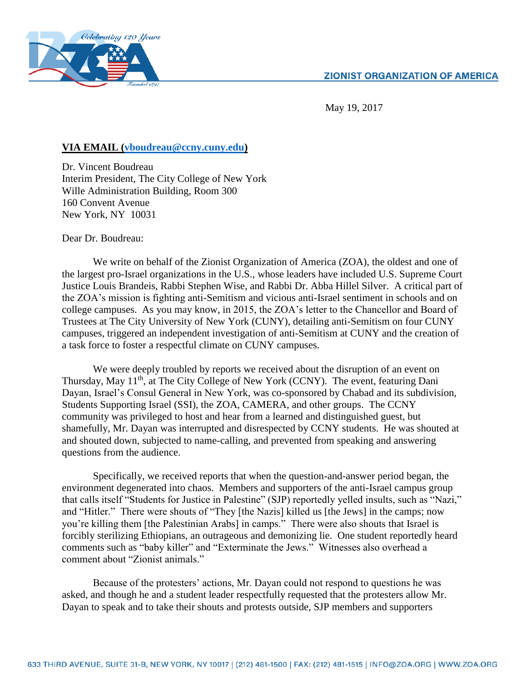

May 19, 2017

## **VIA EMAIL [\(vboudreau@ccny.cuny.edu\)](mailto:vboudreau@ccny.cuny.edu)**

Dr. Vincent Boudreau Interim President, The City College of New York Wille Administration Building, Room 300 160 Convent Avenue New York, NY 10031

Dear Dr. Boudreau:

We write on behalf of the Zionist Organization of America (ZOA), the oldest and one of the largest pro-Israel organizations in the U.S., whose leaders have included U.S. Supreme Court Justice Louis Brandeis, Rabbi Stephen Wise, and Rabbi Dr. Abba Hillel Silver. A critical part of the ZOA's mission is fighting anti-Semitism and vicious anti-Israel sentiment in schools and on college campuses. As you may know, in 2015, the ZOA's letter to the Chancellor and Board of Trustees at The City University of New York (CUNY), detailing anti-Semitism on four CUNY campuses, triggered an independent investigation of anti-Semitism at CUNY and the creation of a task force to foster a respectful climate on CUNY campuses.

We were deeply troubled by reports we received about the disruption of an event on Thursday, May 11<sup>th</sup>, at The City College of New York (CCNY). The event, featuring Dani Dayan, Israel's Consul General in New York, was co-sponsored by Chabad and its subdivision, Students Supporting Israel (SSI), the ZOA, CAMERA, and other groups. The CCNY community was privileged to host and hear from a learned and distinguished guest, but shamefully, Mr. Dayan was interrupted and disrespected by CCNY students. He was shouted at and shouted down, subjected to name-calling, and prevented from speaking and answering questions from the audience.

Specifically, we received reports that when the question-and-answer period began, the environment degenerated into chaos. Members and supporters of the anti-Israel campus group that calls itself "Students for Justice in Palestine" (SJP) reportedly yelled insults, such as "Nazi," and "Hitler." There were shouts of "They [the Nazis] killed us [the Jews] in the camps; now you're killing them [the Palestinian Arabs] in camps." There were also shouts that Israel is forcibly sterilizing Ethiopians, an outrageous and demonizing lie. One student reportedly heard comments such as "baby killer" and "Exterminate the Jews." Witnesses also overhead a comment about "Zionist animals."

Because of the protesters' actions, Mr. Dayan could not respond to questions he was asked, and though he and a student leader respectfully requested that the protesters allow Mr. Dayan to speak and to take their shouts and protests outside, SJP members and supporters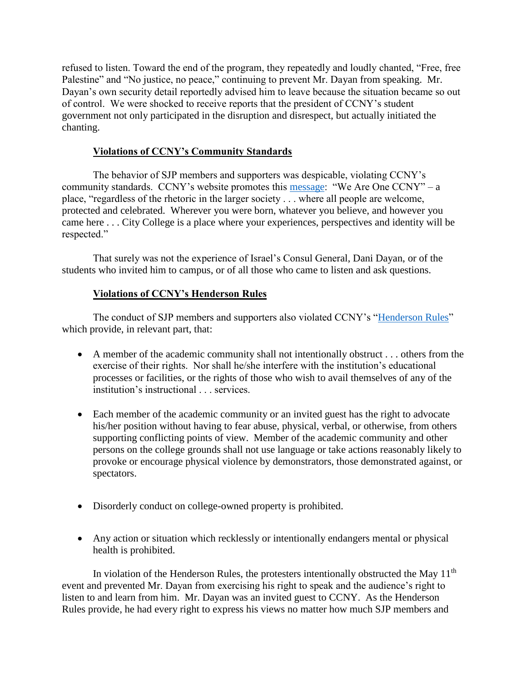refused to listen. Toward the end of the program, they repeatedly and loudly chanted, "Free, free Palestine" and "No justice, no peace," continuing to prevent Mr. Dayan from speaking. Mr. Dayan's own security detail reportedly advised him to leave because the situation became so out of control. We were shocked to receive reports that the president of CCNY's student government not only participated in the disruption and disrespect, but actually initiated the chanting.

## **Violations of CCNY's Community Standards**

The behavior of SJP members and supporters was despicable, violating CCNY's community standards. CCNY's website promotes this [message:](https://www.ccny.cuny.edu/we-are-one-ccny) "We Are One CCNY" – a place, "regardless of the rhetoric in the larger society . . . where all people are welcome, protected and celebrated. Wherever you were born, whatever you believe, and however you came here . . . City College is a place where your experiences, perspectives and identity will be respected."

That surely was not the experience of Israel's Consul General, Dani Dayan, or of the students who invited him to campus, or of all those who came to listen and ask questions.

## **Violations of CCNY's Henderson Rules**

The conduct of SJP members and supporters also violated CCNY's ["Henderson Rules"](https://www.ccny.cuny.edu/sites/default/files/counseling/upload/Henderson-20Rules-14-moved.pdf) which provide, in relevant part, that:

- A member of the academic community shall not intentionally obstruct . . . others from the exercise of their rights. Nor shall he/she interfere with the institution's educational processes or facilities, or the rights of those who wish to avail themselves of any of the institution's instructional . . . services.
- Each member of the academic community or an invited guest has the right to advocate his/her position without having to fear abuse, physical, verbal, or otherwise, from others supporting conflicting points of view. Member of the academic community and other persons on the college grounds shall not use language or take actions reasonably likely to provoke or encourage physical violence by demonstrators, those demonstrated against, or spectators.
- Disorderly conduct on college-owned property is prohibited.
- Any action or situation which recklessly or intentionally endangers mental or physical health is prohibited.

In violation of the Henderson Rules, the protesters intentionally obstructed the May  $11<sup>th</sup>$ event and prevented Mr. Dayan from exercising his right to speak and the audience's right to listen to and learn from him. Mr. Dayan was an invited guest to CCNY. As the Henderson Rules provide, he had every right to express his views no matter how much SJP members and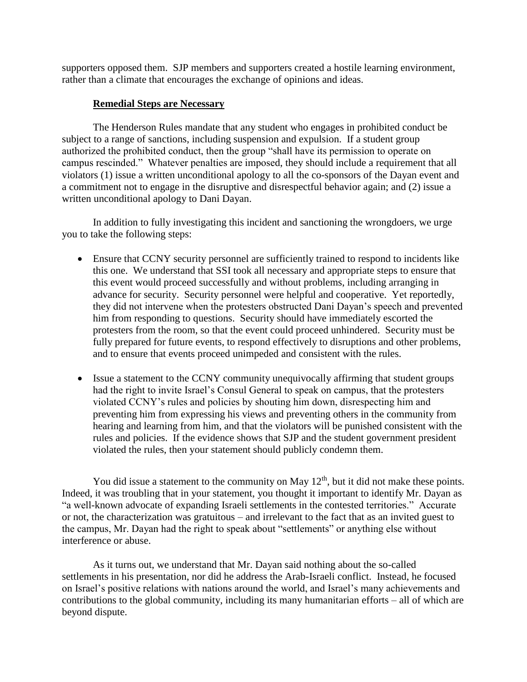supporters opposed them. SJP members and supporters created a hostile learning environment, rather than a climate that encourages the exchange of opinions and ideas.

## **Remedial Steps are Necessary**

The Henderson Rules mandate that any student who engages in prohibited conduct be subject to a range of sanctions, including suspension and expulsion. If a student group authorized the prohibited conduct, then the group "shall have its permission to operate on campus rescinded." Whatever penalties are imposed, they should include a requirement that all violators (1) issue a written unconditional apology to all the co-sponsors of the Dayan event and a commitment not to engage in the disruptive and disrespectful behavior again; and (2) issue a written unconditional apology to Dani Dayan.

In addition to fully investigating this incident and sanctioning the wrongdoers, we urge you to take the following steps:

- Ensure that CCNY security personnel are sufficiently trained to respond to incidents like this one. We understand that SSI took all necessary and appropriate steps to ensure that this event would proceed successfully and without problems, including arranging in advance for security. Security personnel were helpful and cooperative. Yet reportedly, they did not intervene when the protesters obstructed Dani Dayan's speech and prevented him from responding to questions. Security should have immediately escorted the protesters from the room, so that the event could proceed unhindered. Security must be fully prepared for future events, to respond effectively to disruptions and other problems, and to ensure that events proceed unimpeded and consistent with the rules.
- Issue a statement to the CCNY community unequivocally affirming that student groups had the right to invite Israel's Consul General to speak on campus, that the protesters violated CCNY's rules and policies by shouting him down, disrespecting him and preventing him from expressing his views and preventing others in the community from hearing and learning from him, and that the violators will be punished consistent with the rules and policies. If the evidence shows that SJP and the student government president violated the rules, then your statement should publicly condemn them.

You did issue a statement to the community on May  $12<sup>th</sup>$ , but it did not make these points. Indeed, it was troubling that in your statement, you thought it important to identify Mr. Dayan as "a well-known advocate of expanding Israeli settlements in the contested territories." Accurate or not, the characterization was gratuitous – and irrelevant to the fact that as an invited guest to the campus, Mr. Dayan had the right to speak about "settlements" or anything else without interference or abuse.

As it turns out, we understand that Mr. Dayan said nothing about the so-called settlements in his presentation, nor did he address the Arab-Israeli conflict. Instead, he focused on Israel's positive relations with nations around the world, and Israel's many achievements and contributions to the global community, including its many humanitarian efforts – all of which are beyond dispute.